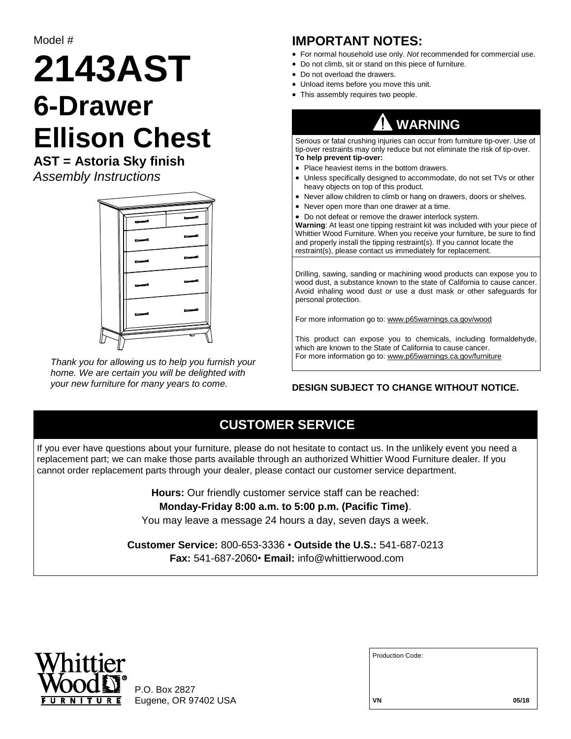Model #

# **2143AST 6-Drawer Ellison Chest**

**AST = Astoria Sky finish** *Assembly Instructions*



*Thank you for allowing us to help you furnish your home. We are certain you will be delighted with your new furniture for many years to come.*

#### **IMPORTANT NOTES:**

- For normal household use only. *Not* recommended for commercial use.
- Do not climb, sit or stand on this piece of furniture.
- Do not overload the drawers.
- Unload items before you move this unit.
- This assembly requires two people.

## **WARNING**

Serious or fatal crushing injuries can occur from furniture tip-over. Use of tip-over restraints may only reduce but not eliminate the risk of tip-over. **To help prevent tip-over:**

- Place heaviest items in the bottom drawers.
- Unless specifically designed to accommodate, do not set TVs or other heavy objects on top of this product.
- Never allow children to climb or hang on drawers, doors or shelves.
- Never open more than one drawer at a time.
- Do not defeat or remove the drawer interlock system.

**Warning**: At least one tipping restraint kit was included with your piece of Whittier Wood Furniture. When you receive your furniture, be sure to find and properly install the tipping restraint(s). If you cannot locate the restraint(s), please contact us immediately for replacement.

Drilling, sawing, sanding or machining wood products can expose you to wood dust, a substance known to the state of California to cause cancer. Avoid inhaling wood dust or use a dust mask or other safeguards for personal protection.

For more information go to: www.p65warnings.ca.gov/wood

This product can expose you to chemicals, including formaldehyde, which are known to the State of California to cause cancer. For more information go to: www.p65warnings.ca.gov/furniture

#### **DESIGN SUBJECT TO CHANGE WITHOUT NOTICE.**

### **CUSTOMER SERVICE**

If you ever have questions about your furniture, please do not hesitate to contact us. In the unlikely event you need a replacement part; we can make those parts available through an authorized Whittier Wood Furniture dealer. If you cannot order replacement parts through your dealer, please contact our customer service department.

> **Hours:** Our friendly customer service staff can be reached: **Monday-Friday 8:00 a.m. to 5:00 p.m. (Pacific Time)**.

You may leave a message 24 hours a day, seven days a week.

**Customer Service:** 800-653-3336 • **Outside the U.S.:** 541-687-0213 **Fax:** 541-687-2060• **Email:** info@whittierwood.com



P.O. Box 2827 Eugene, OR 97402 USA

| <b>Production Code:</b> |       |
|-------------------------|-------|
|                         |       |
|                         |       |
| VN                      | 05/18 |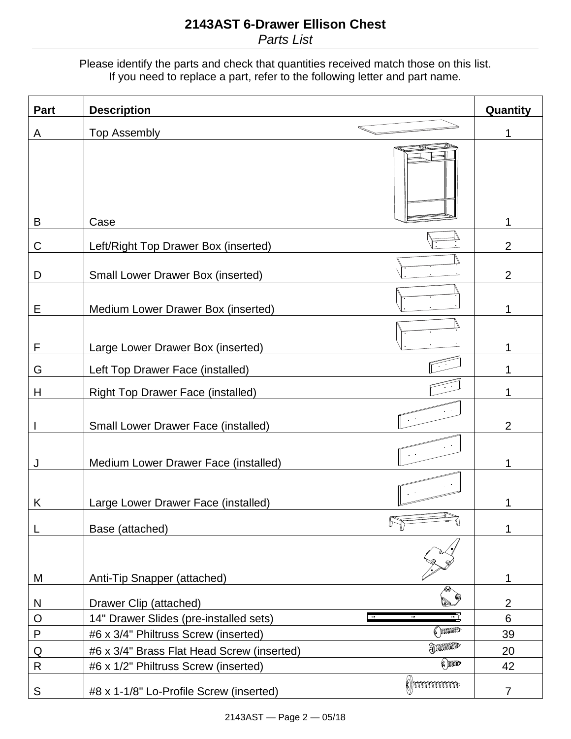Please identify the parts and check that quantities received match those on this list. If you need to replace a part, refer to the following letter and part name.

| Part        | <b>Description</b>                                                        | Quantity       |
|-------------|---------------------------------------------------------------------------|----------------|
| A           | <b>Top Assembly</b>                                                       | 1              |
| B           | Case                                                                      | 1              |
| С           | Left/Right Top Drawer Box (inserted)                                      | $\overline{2}$ |
| D           | <b>Small Lower Drawer Box (inserted)</b>                                  | $\overline{2}$ |
| Ε           | Medium Lower Drawer Box (inserted)                                        | 1              |
| F           | Large Lower Drawer Box (inserted)                                         |                |
| G           | Left Top Drawer Face (installed)                                          | 1              |
| Н           | <b>Right Top Drawer Face (installed)</b>                                  | 1              |
|             | <b>Small Lower Drawer Face (installed)</b>                                | 2              |
| J           | Medium Lower Drawer Face (installed)                                      | 1              |
| Κ           | Large Lower Drawer Face (installed)                                       |                |
| L           | Base (attached)                                                           | 1              |
|             |                                                                           |                |
| M           | Anti-Tip Snapper (attached)                                               | 1              |
| N           | Drawer Clip (attached)                                                    | $\overline{2}$ |
| O           | 14" Drawer Slides (pre-installed sets)<br>$\bullet$<br>$^{\circ}$<br>(mmm | 6              |
| ${\sf P}$   | #6 x 3/4" Philtruss Screw (inserted)<br>$\oplus$ mund                     | 39             |
| $\mathsf Q$ | #6 x 3/4" Brass Flat Head Screw (inserted)<br><b>(a) DODD</b>             | 20<br>42       |
| $\mathsf R$ | #6 x 1/2" Philtruss Screw (inserted)<br><b>Demmune</b>                    |                |
| S           | #8 x 1-1/8" Lo-Profile Screw (inserted)                                   | $\overline{7}$ |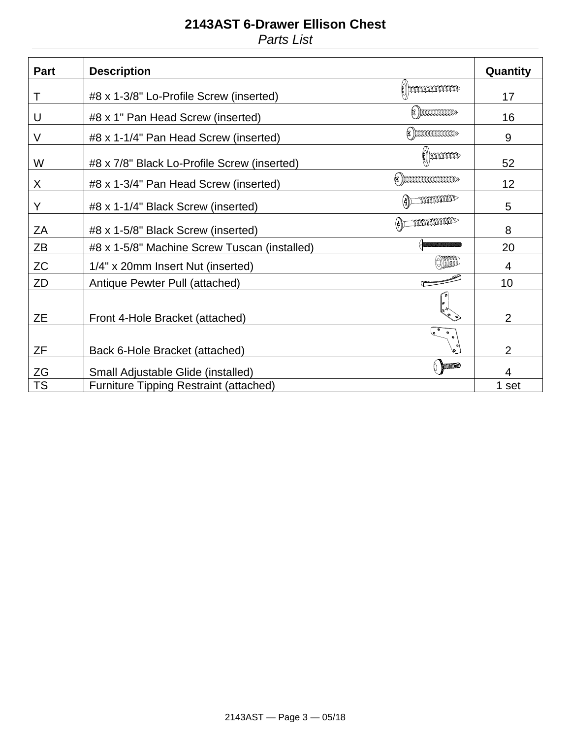## **2143AST 6-Drawer Ellison Chest** *Parts List*

| Part      | <b>Description</b>                                                    | Quantity       |
|-----------|-----------------------------------------------------------------------|----------------|
| Τ         | Nommmm<br>#8 x 1-3/8" Lo-Profile Screw (inserted)                     | 17             |
| U         | $(*)$ podododod $\ast$<br>#8 x 1" Pan Head Screw (inserted)           | 16             |
| $\vee$    | $(*)$ pddddddddddau $^*$<br>#8 x 1-1/4" Pan Head Screw (inserted)     | 9              |
| W         | <b>Common</b><br>#8 x 7/8" Black Lo-Profile Screw (inserted)          | 52             |
| X         | $(*)$ pdddddddddddddd $\ast$<br>#8 x 1-3/4" Pan Head Screw (inserted) | 12             |
| Y         | mummo<br>#8 x 1-1/4" Black Screw (inserted)                           | 5              |
| ZA        | <b>MANAMARINAL</b><br>(⊕)⊏<br>#8 x 1-5/8" Black Screw (inserted)      | 8              |
| ZB        | #8 x 1-5/8" Machine Screw Tuscan (installed)                          | 20             |
| <b>ZC</b> | (O)))))))<br>1/4" x 20mm Insert Nut (inserted)                        | 4              |
| ZD        | Antique Pewter Pull (attached)                                        | 10             |
| ZΕ        | Front 4-Hole Bracket (attached)                                       | $\overline{2}$ |
| ZF        | $\bullet$<br>Back 6-Hole Bracket (attached)                           | $\overline{2}$ |
| ZG        | $($ mump<br>Small Adjustable Glide (installed)                        | 4              |
| <b>TS</b> | <b>Furniture Tipping Restraint (attached)</b>                         | 1 set          |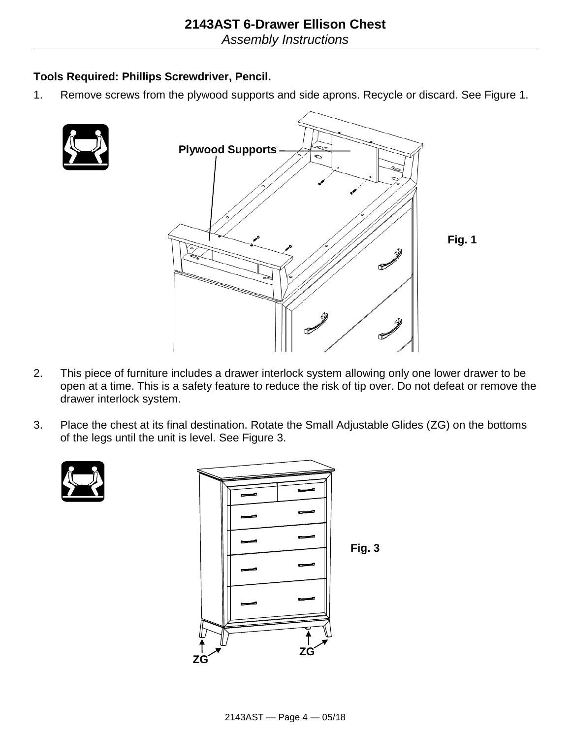#### **Tools Required: Phillips Screwdriver, Pencil.**

1. Remove screws from the plywood supports and side aprons. Recycle or discard. See Figure 1.





- 2. This piece of furniture includes a drawer interlock system allowing only one lower drawer to be open at a time. This is a safety feature to reduce the risk of tip over. Do not defeat or remove the drawer interlock system.
- 3. Place the chest at its final destination. Rotate the Small Adjustable Glides (ZG) on the bottoms of the legs until the unit is level. See Figure 3.



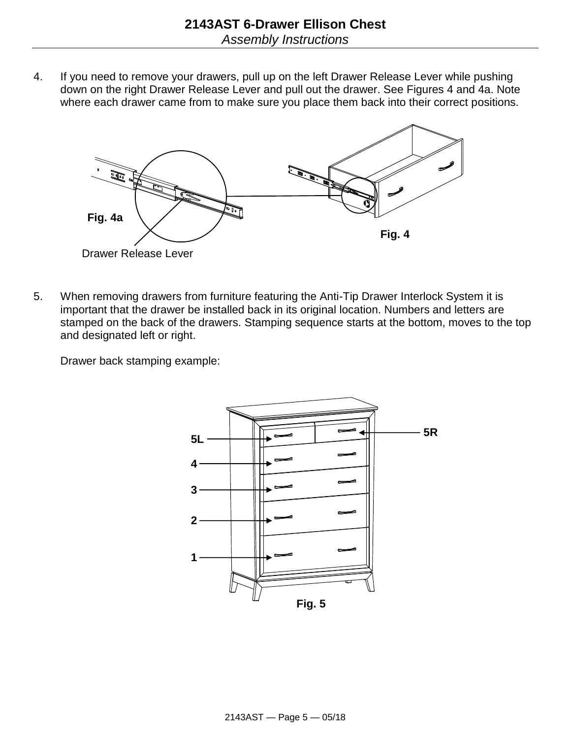4. If you need to remove your drawers, pull up on the left Drawer Release Lever while pushing down on the right Drawer Release Lever and pull out the drawer. See Figures 4 and 4a. Note where each drawer came from to make sure you place them back into their correct positions.



5. When removing drawers from furniture featuring the Anti-Tip Drawer Interlock System it is important that the drawer be installed back in its original location. Numbers and letters are stamped on the back of the drawers. Stamping sequence starts at the bottom, moves to the top and designated left or right.

Drawer back stamping example:

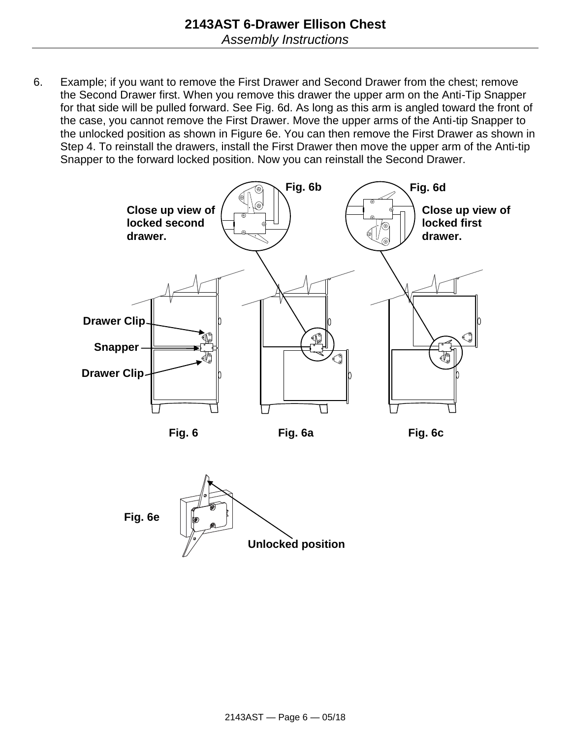6. Example; if you want to remove the First Drawer and Second Drawer from the chest; remove the Second Drawer first. When you remove this drawer the upper arm on the Anti-Tip Snapper for that side will be pulled forward. See Fig. 6d. As long as this arm is angled toward the front of the case, you cannot remove the First Drawer. Move the upper arms of the Anti-tip Snapper to the unlocked position as shown in Figure 6e. You can then remove the First Drawer as shown in Step 4. To reinstall the drawers, install the First Drawer then move the upper arm of the Anti-tip Snapper to the forward locked position. Now you can reinstall the Second Drawer.





**Fig. 6a**

**Fig. 6c**

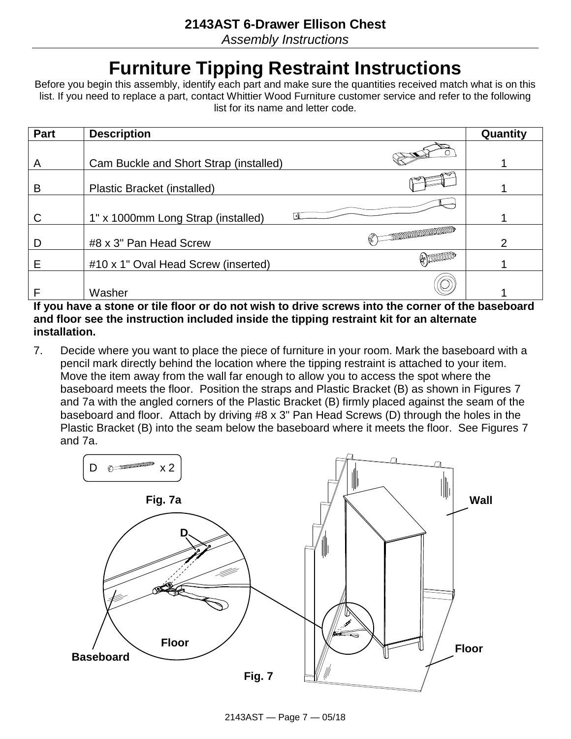*Assembly Instructions*

# **Furniture Tipping Restraint Instructions**

Before you begin this assembly, identify each part and make sure the quantities received match what is on this list. If you need to replace a part, contact Whittier Wood Furniture customer service and refer to the following list for its name and letter code.

| Part | <b>Description</b>                     |                                            | Quantity |
|------|----------------------------------------|--------------------------------------------|----------|
|      |                                        |                                            |          |
| A    | Cam Buckle and Short Strap (installed) |                                            |          |
| B    | Plastic Bracket (installed)            |                                            |          |
|      |                                        |                                            |          |
| C    | 1" x 1000mm Long Strap (installed)     |                                            |          |
| D    | #8 x 3" Pan Head Screw                 | <b>THE REAL PROPERTY AND REAL PROPERTY</b> | ◠        |
| Е    | #10 x 1" Oval Head Screw (inserted)    | $\#$ meaning                               |          |
|      | Washer                                 |                                            |          |

**If you have a stone or tile floor or do not wish to drive screws into the corner of the baseboard and floor see the instruction included inside the tipping restraint kit for an alternate installation.**

7. Decide where you want to place the piece of furniture in your room. Mark the baseboard with a pencil mark directly behind the location where the tipping restraint is attached to your item. Move the item away from the wall far enough to allow you to access the spot where the baseboard meets the floor. Position the straps and Plastic Bracket (B) as shown in Figures 7 and 7a with the angled corners of the Plastic Bracket (B) firmly placed against the seam of the baseboard and floor. Attach by driving #8 x 3" Pan Head Screws (D) through the holes in the Plastic Bracket (B) into the seam below the baseboard where it meets the floor. See Figures 7 and 7a.